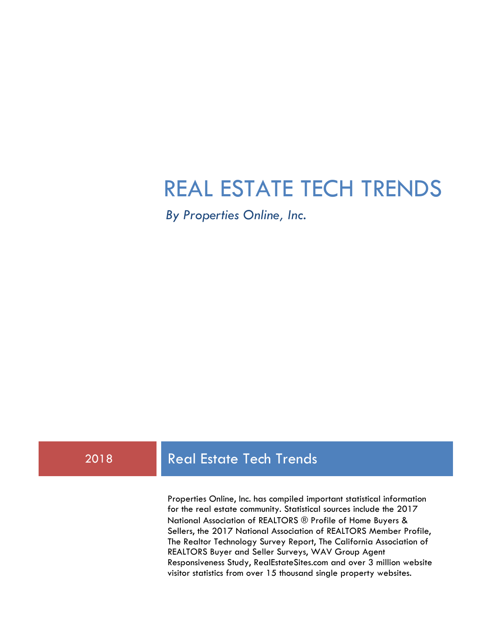# REAL ESTATE TECH TRENDS

*By Properties Online, Inc.*

# 2018 Real Estate Tech Trends

Properties Online, Inc. has compiled important statistical information for the real estate community. Statistical sources include the 2017 National Association of REALTORS ® Profile of Home Buyers & Sellers, the 2017 National Association of REALTORS Member Profile, The Realtor Technology Survey Report, The California Association of REALTORS Buyer and Seller Surveys, WAV Group Agent Responsiveness Study, RealEstateSites.com and over 3 million website visitor statistics from over 15 thousand single property websites.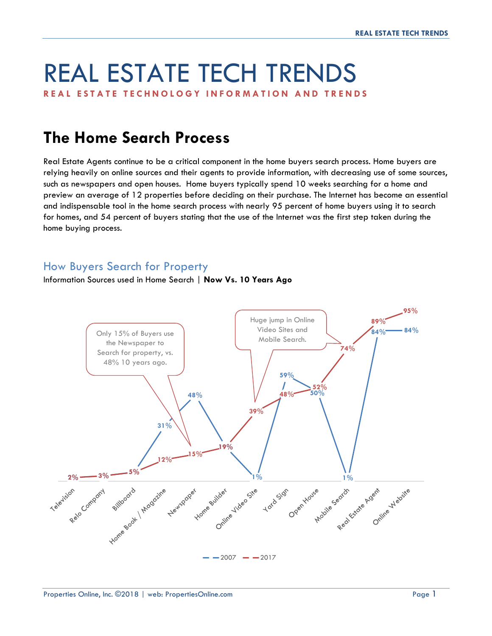# REAL ESTATE TECH TRENDS

**REAL ESTATE TECHNOLO GY INFORMATION AND TRENDS**

# **The Home Search Process**

Real Estate Agents continue to be a critical component in the home buyers search process. Home buyers are relying heavily on online sources and their agents to provide information, with decreasing use of some sources, such as newspapers and open houses. Home buyers typically spend 10 weeks searching for a home and preview an average of 12 properties before deciding on their purchase. The Internet has become an essential and indispensable tool in the home search process with nearly 95 percent of home buyers using it to search for homes, and 54 percent of buyers stating that the use of the Internet was the first step taken during the home buying process.

#### How Buyers Search for Property

Information Sources used in Home Search | **Now Vs. 10 Years Ago**

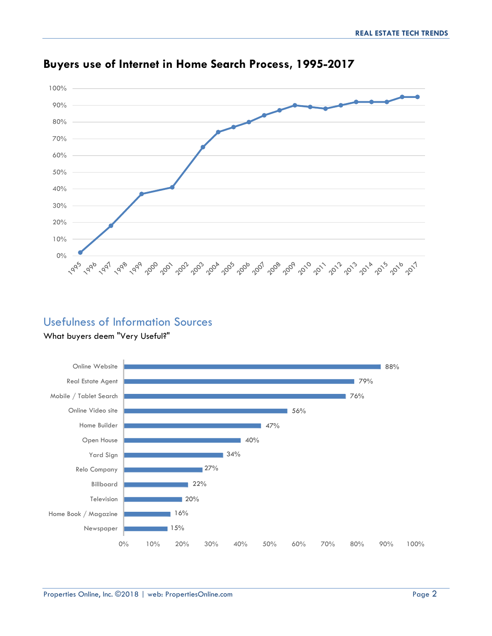

# **Buyers use of Internet in Home Search Process, 1995-2017**

### Usefulness of Information Sources

#### What buyers deem "Very Useful?"

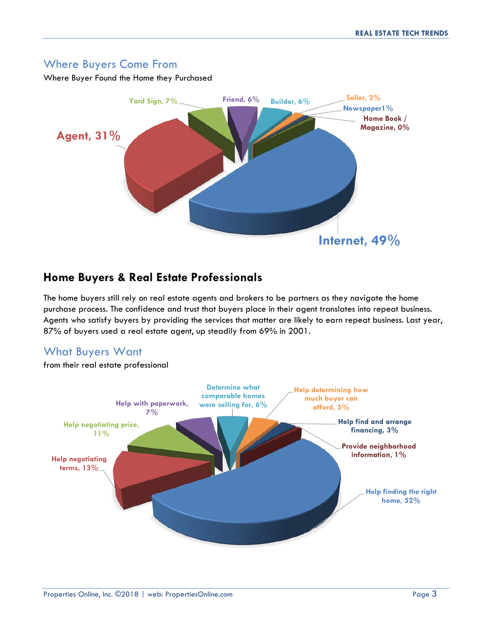#### Where Buyers Come From

Where Buyer Found the Home they Purchased



#### **Home Buyers & Real Estate Professionals**

The home buyers still rely on real estate agents and brokers to be partners as they navigate the home purchase process. The confidence and trust that buyers place in their agent translates into repeat business. Agents who satisfy buyers by providing the services that matter are likely to earn repeat business. Last year, 87% of buyers used a real estate agent, up steadily from 69% in 2001.

#### What Buyers Want

from their real estate professional

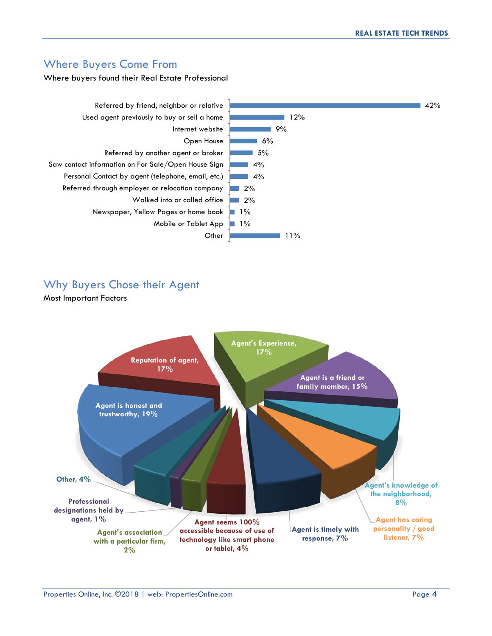#### Where Buyers Come From

Where buyers found their Real Estate Professional



#### Why Buyers Chose their Agent

Most Important Factors

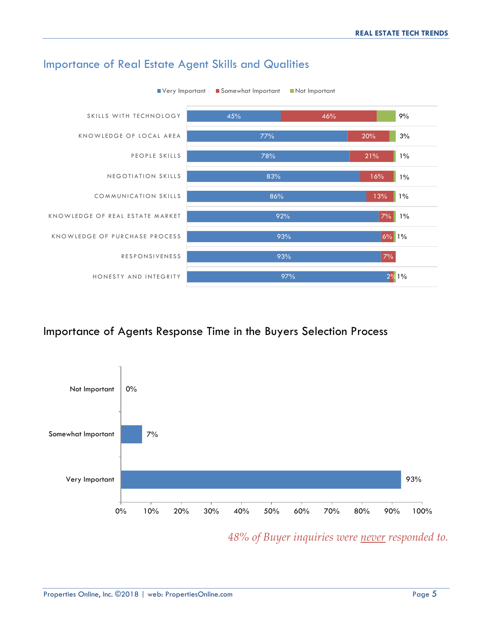

#### Importance of Real Estate Agent Skills and Qualities

#### Importance of Agents Response Time in the Buyers Selection Process



*48% of Buyer inquiries were never responded to.*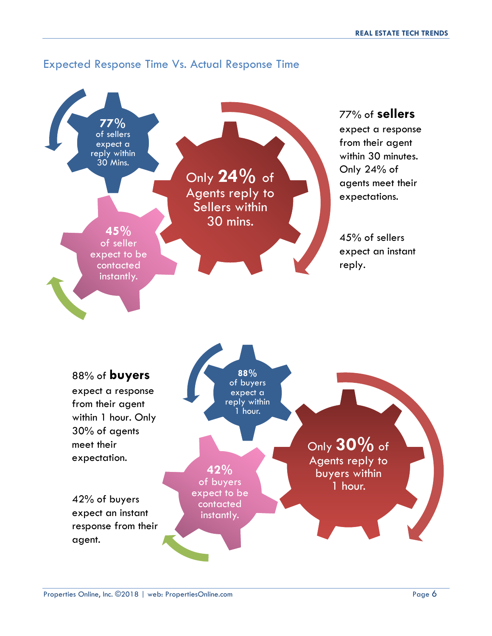#### Expected Response Time Vs. Actual Response Time

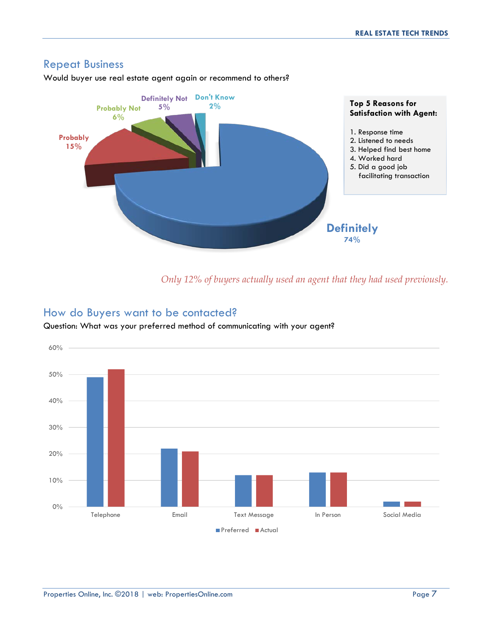#### Repeat Business

Would buyer use real estate agent again or recommend to others?



*Only 12% of buyers actually used an agent that they had used previously.*

#### How do Buyers want to be contacted?

Question: What was your preferred method of communicating with your agent?

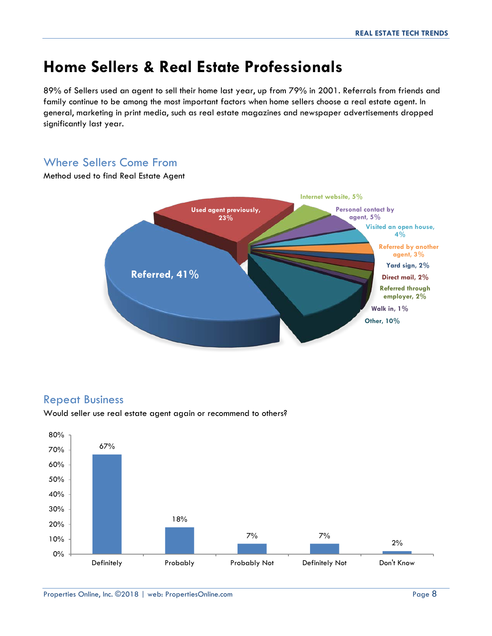# **Home Sellers & Real Estate Professionals**

89% of Sellers used an agent to sell their home last year, up from 79% in 2001. Referrals from friends and family continue to be among the most important factors when home sellers choose a real estate agent. In general, marketing in print media, such as real estate magazines and newspaper advertisements dropped significantly last year.

#### Where Sellers Come From



#### Method used to find Real Estate Agent

#### Repeat Business

Would seller use real estate agent again or recommend to others?

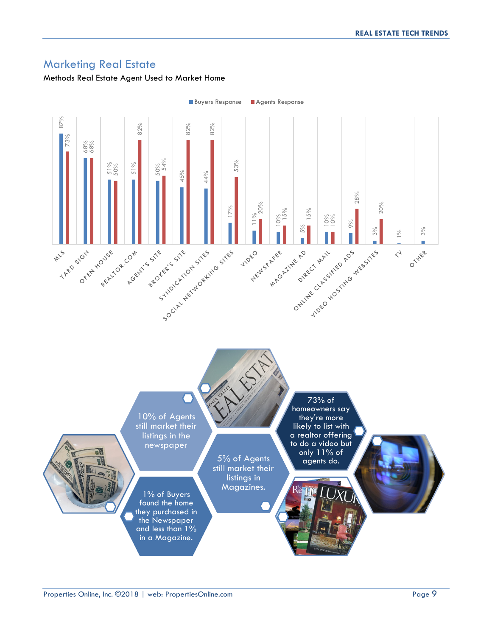#### Marketing Real Estate

#### Methods Real Estate Agent Used to Market Home

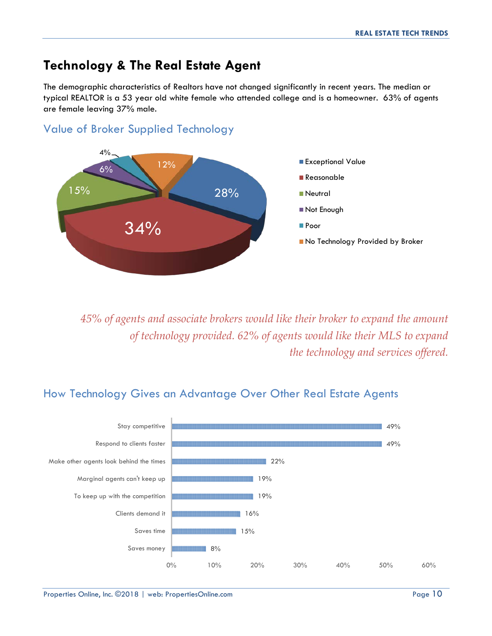# **Technology & The Real Estate Agent**

Value of Broker Supplied Technology

The demographic characteristics of Realtors have not changed significantly in recent years. The median or typical REALTOR is a 53 year old white female who attended college and is a homeowner. 63% of agents are female leaving 37% male.



*45% of agents and associate brokers would like their broker to expand the amount of technology provided. 62% of agents would like their MLS to expand the technology and services offered.*

# How Technology Gives an Advantage Over Other Real Estate Agents

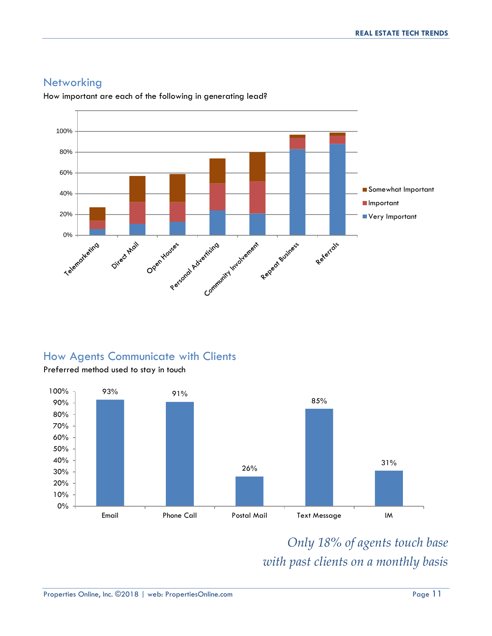

#### **Networking**

How important are each of the following in generating lead?

#### How Agents Communicate with Clients



*Only 18% of agents touch base with past clients on a monthly basis*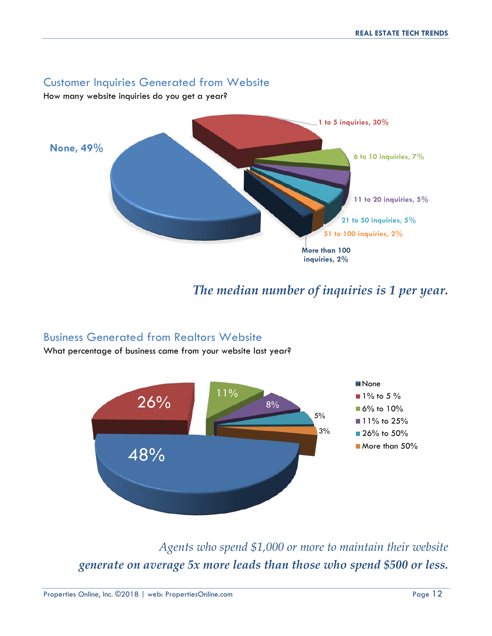#### Customer Inquiries Generated from Website

How many website inquiries do you get a year?



# *The median number of inquiries is 1 per year.*

#### Business Generated from Realtors Website

What percentage of business came from your website last year?



*Agents who spend \$1,000 or more to maintain their website generate on average 5x more leads than those who spend \$500 or less.*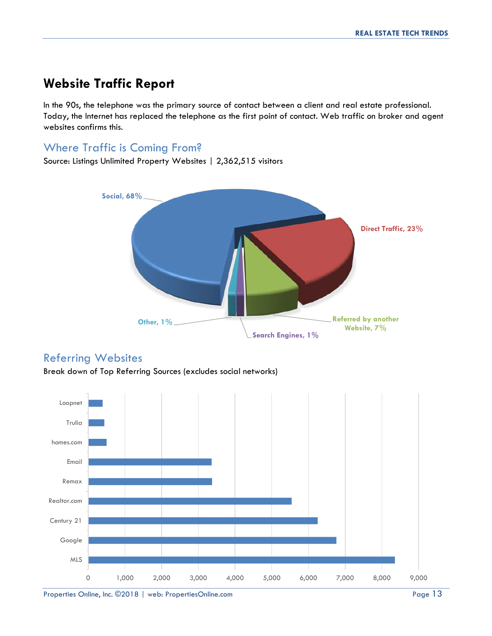# **Website Traffic Report**

In the 90s, the telephone was the primary source of contact between a client and real estate professional. Today, the Internet has replaced the telephone as the first point of contact. Web traffic on broker and agent websites confirms this.

# Where Traffic is Coming From?

Source: Listings Unlimited Property Websites | 2,362,515 visitors



#### Referring Websites

Break down of Top Referring Sources (excludes social networks)



Properties Online, Inc. ©2018 | web: PropertiesOnline.com Page 13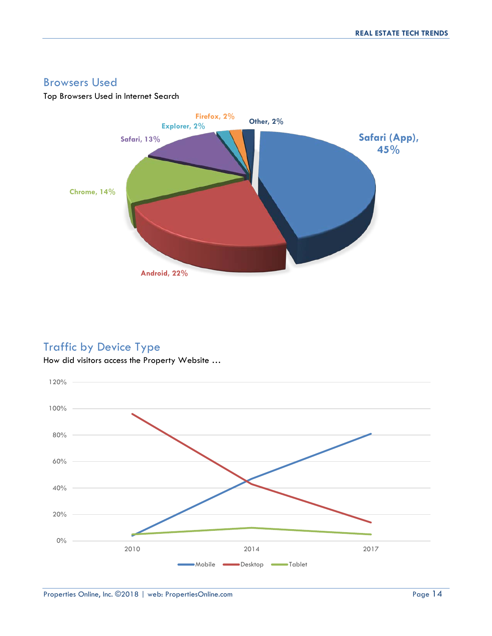#### Browsers Used

#### Top Browsers Used in Internet Search



# Traffic by Device Type



How did visitors access the Property Website …